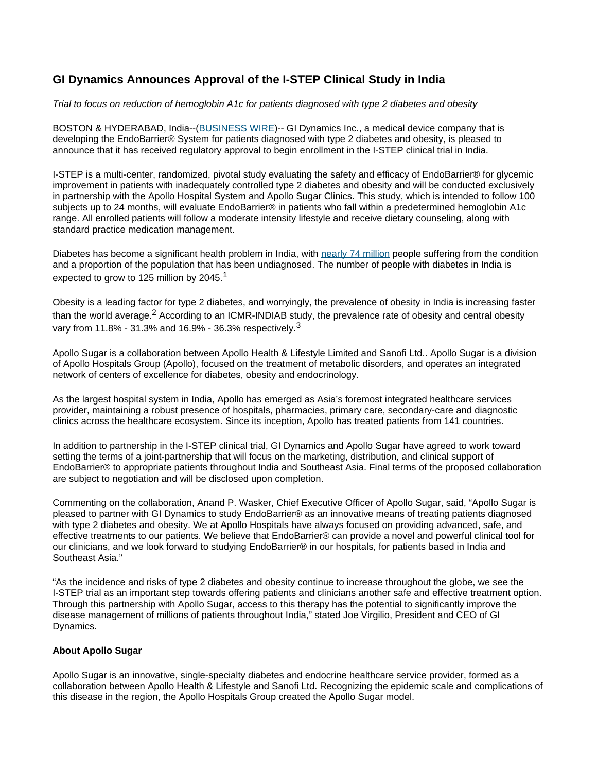## **GI Dynamics Announces Approval of the I-STEP Clinical Study in India**

Trial to focus on reduction of hemoglobin A1c for patients diagnosed with type 2 diabetes and obesity

BOSTON & HYDERABAD, India--[\(BUSINESS WIRE\)](http://www.businesswire.com)-- GI Dynamics Inc., a medical device company that is developing the EndoBarrier® System for patients diagnosed with type 2 diabetes and obesity, is pleased to announce that it has received regulatory approval to begin enrollment in the I-STEP clinical trial in India.

I-STEP is a multi-center, randomized, pivotal study evaluating the safety and efficacy of EndoBarrier® for glycemic improvement in patients with inadequately controlled type 2 diabetes and obesity and will be conducted exclusively in partnership with the Apollo Hospital System and Apollo Sugar Clinics. This study, which is intended to follow 100 subjects up to 24 months, will evaluate EndoBarrier® in patients who fall within a predetermined hemoglobin A1c range. All enrolled patients will follow a moderate intensity lifestyle and receive dietary counseling, along with standard practice medication management.

Diabetes has become a significant health problem in India, with [nearly 74 million](https://cts.businesswire.com/ct/CT?id=smartlink&url=https%3A%2F%2Fwww.diabetesatlas.org%2Fupload%2Fresources%2Fmaterial%2F20200302_133351_IDFATLAS9e-final-web.pdf&esheet=52568725&lan=en-US&anchor=nearly+74+million&index=1&md5=5cdfcaa5a56d556726243029f0bc6fba) people suffering from the condition and a proportion of the population that has been undiagnosed. The number of people with diabetes in India is expected to grow to 125 million by 2045.<sup>1</sup>

Obesity is a leading factor for type 2 diabetes, and worryingly, the prevalence of obesity in India is increasing faster than the world average.<sup>2</sup> According to an ICMR-INDIAB study, the prevalence rate of obesity and central obesity vary from 11.8% - 31.3% and 16.9% - 36.3% respectively.<sup>3</sup>

Apollo Sugar is a collaboration between Apollo Health & Lifestyle Limited and Sanofi Ltd.. Apollo Sugar is a division of Apollo Hospitals Group (Apollo), focused on the treatment of metabolic disorders, and operates an integrated network of centers of excellence for diabetes, obesity and endocrinology.

As the largest hospital system in India, Apollo has emerged as Asia's foremost integrated healthcare services provider, maintaining a robust presence of hospitals, pharmacies, primary care, secondary-care and diagnostic clinics across the healthcare ecosystem. Since its inception, Apollo has treated patients from 141 countries.

In addition to partnership in the I-STEP clinical trial, GI Dynamics and Apollo Sugar have agreed to work toward setting the terms of a joint-partnership that will focus on the marketing, distribution, and clinical support of EndoBarrier® to appropriate patients throughout India and Southeast Asia. Final terms of the proposed collaboration are subject to negotiation and will be disclosed upon completion.

Commenting on the collaboration, Anand P. Wasker, Chief Executive Officer of Apollo Sugar, said, "Apollo Sugar is pleased to partner with GI Dynamics to study EndoBarrier® as an innovative means of treating patients diagnosed with type 2 diabetes and obesity. We at Apollo Hospitals have always focused on providing advanced, safe, and effective treatments to our patients. We believe that EndoBarrier® can provide a novel and powerful clinical tool for our clinicians, and we look forward to studying EndoBarrier® in our hospitals, for patients based in India and Southeast Asia."

"As the incidence and risks of type 2 diabetes and obesity continue to increase throughout the globe, we see the I-STEP trial as an important step towards offering patients and clinicians another safe and effective treatment option. Through this partnership with Apollo Sugar, access to this therapy has the potential to significantly improve the disease management of millions of patients throughout India," stated Joe Virgilio, President and CEO of GI Dynamics.

## **About Apollo Sugar**

Apollo Sugar is an innovative, single-specialty diabetes and endocrine healthcare service provider, formed as a collaboration between Apollo Health & Lifestyle and Sanofi Ltd. Recognizing the epidemic scale and complications of this disease in the region, the Apollo Hospitals Group created the Apollo Sugar model.